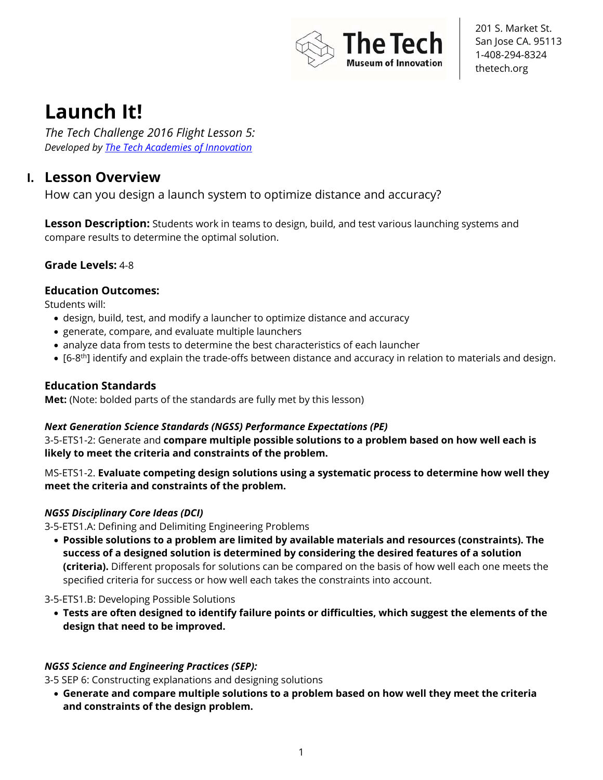

# **Launch It!**

*The Tech Challenge 2016 Flight Lesson 5: Developed by The Tech Academies of Innovation*

## **I. Lesson Overview**

How can you design a launch system to optimize distance and accuracy?

**Lesson Description:** Students work in teams to design, build, and test various launching systems and compare results to determine the optimal solution.

## **Grade Levels:** 4-8

## **Education Outcomes:**

Students will:

- design, build, test, and modify a launcher to optimize distance and accuracy
- generate, compare, and evaluate multiple launchers
- analyze data from tests to determine the best characteristics of each launcher
- $[6-8<sup>th</sup>]$  identify and explain the trade-offs between distance and accuracy in relation to materials and design.

## **Education Standards**

**Met:** (Note: bolded parts of the standards are fully met by this lesson)

## *Next Generation Science Standards (NGSS) Performance Expectations (PE)*

3-5-ETS1-2: Generate and **compare multiple possible solutions to a problem based on how well each is likely to meet the criteria and constraints of the problem.** 

MS-ETS1-2. **Evaluate competing design solutions using a systematic process to determine how well they meet the criteria and constraints of the problem.** 

## *NGSS Disciplinary Core Ideas (DCI)*

3-5-ETS1.A: Defining and Delimiting Engineering Problems

• **Possible solutions to a problem are limited by available materials and resources (constraints). The success of a designed solution is determined by considering the desired features of a solution (criteria).** Different proposals for solutions can be compared on the basis of how well each one meets the specified criteria for success or how well each takes the constraints into account.

3-5-ETS1.B: Developing Possible Solutions

• **Tests are often designed to identify failure points or difficulties, which suggest the elements of the design that need to be improved.** 

## *NGSS Science and Engineering Practices (SEP):*

3-5 SEP 6: Constructing explanations and designing solutions

• **Generate and compare multiple solutions to a problem based on how well they meet the criteria and constraints of the design problem.**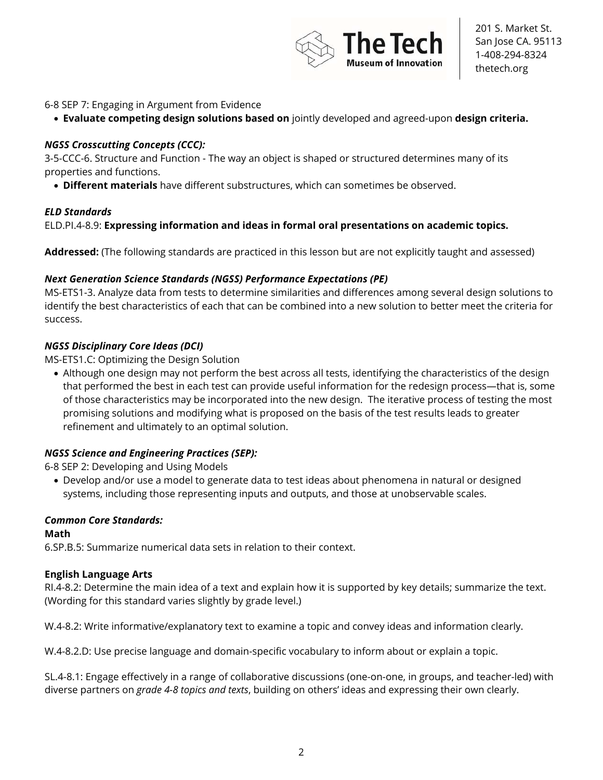

#### 6-8 SEP 7: Engaging in Argument from Evidence

• **Evaluate competing design solutions based on** jointly developed and agreed-upon **design criteria.** 

#### *NGSS Crosscutting Concepts (CCC):*

3-5-CCC-6. Structure and Function - The way an object is shaped or structured determines many of its properties and functions.

• **Different materials** have different substructures, which can sometimes be observed.

#### *ELD Standards*

ELD.PI.4-8.9: **Expressing information and ideas in formal oral presentations on academic topics.** 

**Addressed:** (The following standards are practiced in this lesson but are not explicitly taught and assessed)

#### *Next Generation Science Standards (NGSS) Performance Expectations (PE)*

MS-ETS1-3. Analyze data from tests to determine similarities and differences among several design solutions to identify the best characteristics of each that can be combined into a new solution to better meet the criteria for success.

#### *NGSS Disciplinary Core Ideas (DCI)*

MS-ETS1.C: Optimizing the Design Solution

• Although one design may not perform the best across all tests, identifying the characteristics of the design that performed the best in each test can provide useful information for the redesign process—that is, some of those characteristics may be incorporated into the new design. The iterative process of testing the most promising solutions and modifying what is proposed on the basis of the test results leads to greater refinement and ultimately to an optimal solution.

#### *NGSS Science and Engineering Practices (SEP):*

6-8 SEP 2: Developing and Using Models

• Develop and/or use a model to generate data to test ideas about phenomena in natural or designed systems, including those representing inputs and outputs, and those at unobservable scales.

#### *Common Core Standards:*

**Math**  6.SP.B.5: Summarize numerical data sets in relation to their context.

#### **English Language Arts**

RI.4-8.2: Determine the main idea of a text and explain how it is supported by key details; summarize the text. (Wording for this standard varies slightly by grade level.)

W.4-8.2: Write informative/explanatory text to examine a topic and convey ideas and information clearly.

W.4-8.2.D: Use precise language and domain-specific vocabulary to inform about or explain a topic.

SL.4-8.1: Engage effectively in a range of collaborative discussions (one-on-one, in groups, and teacher-led) with diverse partners on *grade 4-8 topics and texts*, building on others' ideas and expressing their own clearly.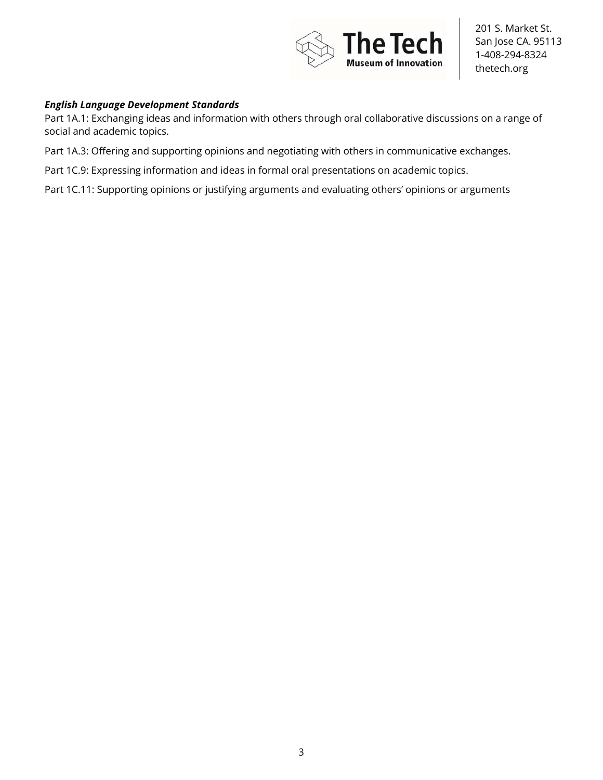

#### *English Language Development Standards*

Part 1A.1: Exchanging ideas and information with others through oral collaborative discussions on a range of social and academic topics.

Part 1A.3: Offering and supporting opinions and negotiating with others in communicative exchanges.

Part 1C.9: Expressing information and ideas in formal oral presentations on academic topics.

Part 1C.11: Supporting opinions or justifying arguments and evaluating others' opinions or arguments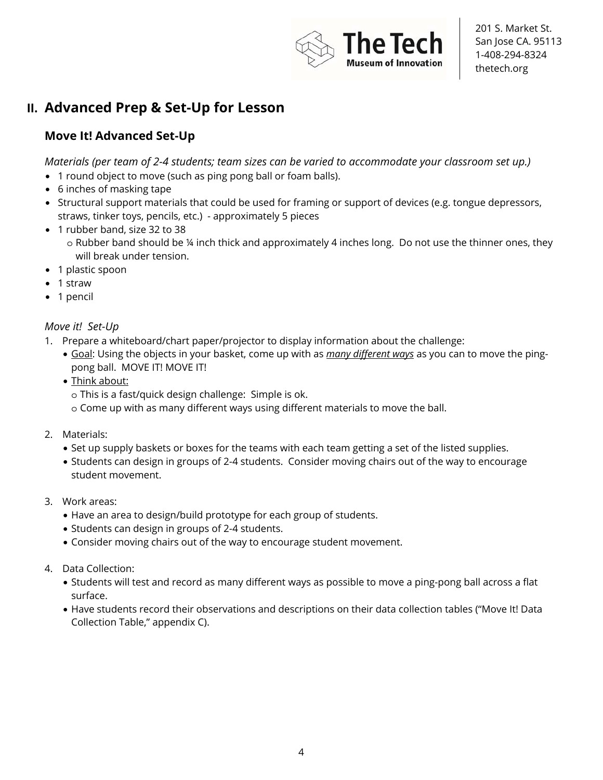

# **II. Advanced Prep & Set-Up for Lesson**

## **Move It! Advanced Set-Up**

*Materials (per team of 2-4 students; team sizes can be varied to accommodate your classroom set up.)* 

- 1 round object to move (such as ping pong ball or foam balls).
- 6 inches of masking tape
- Structural support materials that could be used for framing or support of devices (e.g. tongue depressors, straws, tinker toys, pencils, etc.) - approximately 5 pieces
- 1 rubber band, size 32 to 38
	- o Rubber band should be ¼ inch thick and approximately 4 inches long. Do not use the thinner ones, they will break under tension.
- 1 plastic spoon
- 1 straw
- 1 pencil

## *Move it! Set-Up*

- 1. Prepare a whiteboard/chart paper/projector to display information about the challenge:
	- Goal: Using the objects in your basket, come up with as *many different ways* as you can to move the pingpong ball. MOVE IT! MOVE IT!
	- Think about:
		- o This is a fast/quick design challenge: Simple is ok.
		- o Come up with as many different ways using different materials to move the ball.
- 2. Materials:
	- Set up supply baskets or boxes for the teams with each team getting a set of the listed supplies.
	- Students can design in groups of 2-4 students. Consider moving chairs out of the way to encourage student movement.
- 3. Work areas:
	- Have an area to design/build prototype for each group of students.
	- Students can design in groups of 2-4 students.
	- Consider moving chairs out of the way to encourage student movement.
- 4. Data Collection:
	- Students will test and record as many different ways as possible to move a ping-pong ball across a flat surface.
	- Have students record their observations and descriptions on their data collection tables ("Move It! Data Collection Table," appendix C).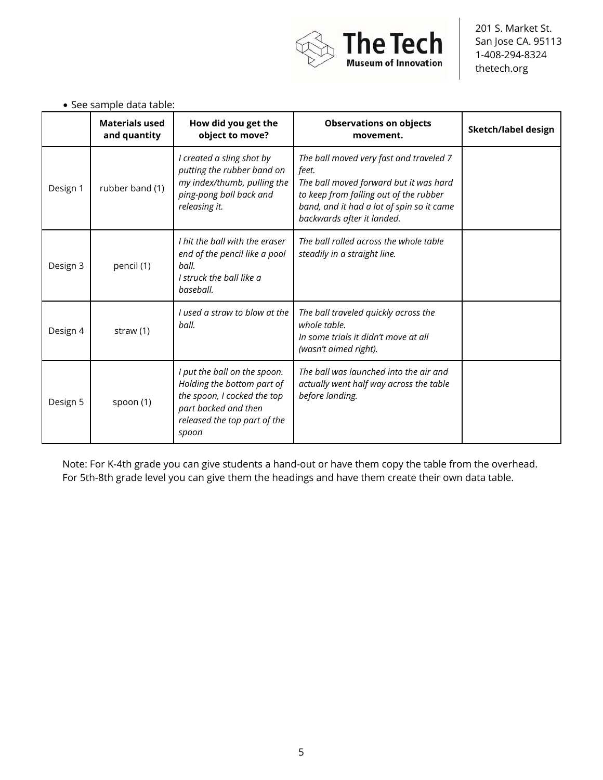

|          | <b>DEC SAILINIC ARTA LANIC.</b><br><b>Materials used</b> | How did you get the                                                                                                                                        | <b>Observations on objects</b>                                                                                                                                                                                  |                     |
|----------|----------------------------------------------------------|------------------------------------------------------------------------------------------------------------------------------------------------------------|-----------------------------------------------------------------------------------------------------------------------------------------------------------------------------------------------------------------|---------------------|
|          | and quantity                                             | object to move?                                                                                                                                            | movement.                                                                                                                                                                                                       | Sketch/label design |
| Design 1 | rubber band (1)                                          | I created a sling shot by<br>putting the rubber band on<br>my index/thumb, pulling the<br>ping-pong ball back and<br>releasing it.                         | The ball moved very fast and traveled 7<br>feet.<br>The ball moved forward but it was hard<br>to keep from falling out of the rubber<br>band, and it had a lot of spin so it came<br>backwards after it landed. |                     |
| Design 3 | pencil (1)                                               | I hit the ball with the eraser<br>end of the pencil like a pool<br>ball.<br>I struck the ball like a<br>baseball.                                          | The ball rolled across the whole table<br>steadily in a straight line.                                                                                                                                          |                     |
| Design 4 | straw $(1)$                                              | I used a straw to blow at the<br>ball.                                                                                                                     | The ball traveled quickly across the<br>whole table.<br>In some trials it didn't move at all<br>(wasn't aimed right).                                                                                           |                     |
| Design 5 | spoon (1)                                                | I put the ball on the spoon.<br>Holding the bottom part of<br>the spoon, I cocked the top<br>part backed and then<br>released the top part of the<br>spoon | The ball was launched into the air and<br>actually went half way across the table<br>before landing.                                                                                                            |                     |

Note: For K-4th grade you can give students a hand-out or have them copy the table from the overhead. For 5th-8th grade level you can give them the headings and have them create their own data table.

### • See sample data table: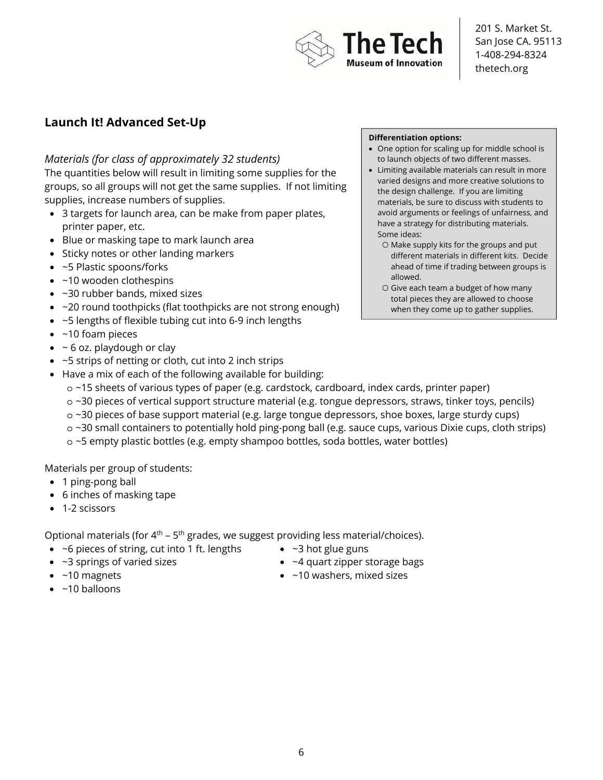

## **Launch It! Advanced Set-Up**

### *Materials (for class of approximately 32 students)*

The quantities below will result in limiting some supplies for the groups, so all groups will not get the same supplies. If not limiting supplies, increase numbers of supplies.

- 3 targets for launch area, can be make from paper plates, printer paper, etc.
- Blue or masking tape to mark launch area
- Sticky notes or other landing markers
- ~5 Plastic spoons/forks
- ~10 wooden clothespins
- ~30 rubber bands, mixed sizes
- ~20 round toothpicks (flat toothpicks are not strong enough)
- ~5 lengths of flexible tubing cut into 6-9 inch lengths
- ~10 foam pieces
- $\bullet$  ~ 6 oz. playdough or clay
- ~5 strips of netting or cloth, cut into 2 inch strips
- Have a mix of each of the following available for building:

#### **Differentiation options:**

- One option for scaling up for middle school is to launch objects of two different masses.
- Limiting available materials can result in more varied designs and more creative solutions to the design challenge. If you are limiting materials, be sure to discuss with students to avoid arguments or feelings of unfairness, and have a strategy for distributing materials. Some ideas:
	- Make supply kits for the groups and put different materials in different kits. Decide ahead of time if trading between groups is allowed.
	- Give each team a budget of how many total pieces they are allowed to choose when they come up to gather supplies.
- o ~15 sheets of various types of paper (e.g. cardstock, cardboard, index cards, printer paper)
- o ~30 pieces of vertical support structure material (e.g. tongue depressors, straws, tinker toys, pencils)
- o ~30 pieces of base support material (e.g. large tongue depressors, shoe boxes, large sturdy cups)
- o ~30 small containers to potentially hold ping-pong ball (e.g. sauce cups, various Dixie cups, cloth strips)
- o ~5 empty plastic bottles (e.g. empty shampoo bottles, soda bottles, water bottles)

Materials per group of students:

- 1 ping-pong ball
- 6 inches of masking tape
- 1-2 scissors

Optional materials (for  $4<sup>th</sup>$  – 5<sup>th</sup> grades, we suggest providing less material/choices).

- ~6 pieces of string, cut into 1 ft. lengths
- ~3 springs of varied sizes
- $\bullet$  ~3 hot glue guns
- ~4 quart zipper storage bags
- ~10 washers, mixed sizes

• ~10 magnets  $\bullet$  ~10 balloons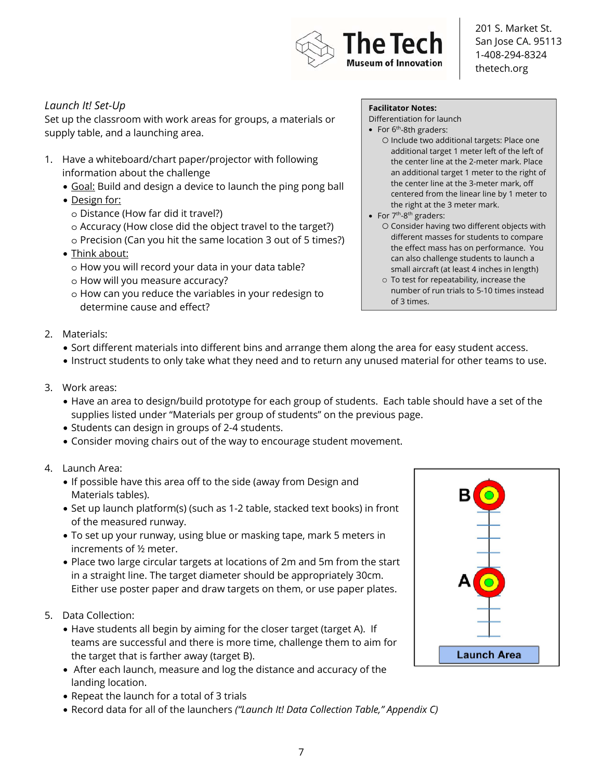

## *Launch It! Set-Up*

Set up the classroom with work areas for groups, a materials or supply table, and a launching area.

- 1. Have a whiteboard/chart paper/projector with following information about the challenge
	- Goal: Build and design a device to launch the ping pong ball
	- Design for:
		- o Distance (How far did it travel?)
		- o Accuracy (How close did the object travel to the target?)
		- o Precision (Can you hit the same location 3 out of 5 times?)
	- Think about:
		- o How you will record your data in your data table?
		- o How will you measure accuracy?
		- o How can you reduce the variables in your redesign to determine cause and effect?

#### **Facilitator Notes:**

Differentiation for launch

- For  $6<sup>th</sup>$ -8th graders:
	- Include two additional targets: Place one additional target 1 meter left of the left of the center line at the 2-meter mark. Place an additional target 1 meter to the right of the center line at the 3-meter mark, off centered from the linear line by 1 meter to the right at the 3 meter mark.
- For  $7<sup>th</sup>$ -8<sup>th</sup> graders:
	- Consider having two different objects with different masses for students to compare the effect mass has on performance. You can also challenge students to launch a small aircraft (at least 4 inches in length)
	- To test for repeatability, increase the number of run trials to 5-10 times instead of 3 times.

- 2. Materials:
	- Sort different materials into different bins and arrange them along the area for easy student access.
	- Instruct students to only take what they need and to return any unused material for other teams to use.
- 3. Work areas:
	- Have an area to design/build prototype for each group of students. Each table should have a set of the supplies listed under "Materials per group of students" on the previous page.
	- Students can design in groups of 2-4 students.
	- Consider moving chairs out of the way to encourage student movement.
- 4. Launch Area:
	- If possible have this area off to the side (away from Design and Materials tables).
	- Set up launch platform(s) (such as 1-2 table, stacked text books) in front of the measured runway.
	- To set up your runway, using blue or masking tape, mark 5 meters in increments of ½ meter.
	- Place two large circular targets at locations of 2m and 5m from the start in a straight line. The target diameter should be appropriately 30cm. Either use poster paper and draw targets on them, or use paper plates.
- 5. Data Collection:
	- Have students all begin by aiming for the closer target (target A). If teams are successful and there is more time, challenge them to aim for the target that is farther away (target B).
	- After each launch, measure and log the distance and accuracy of the landing location.
	- Repeat the launch for a total of 3 trials
	- Record data for all of the launchers *("Launch It! Data Collection Table," Appendix C)*

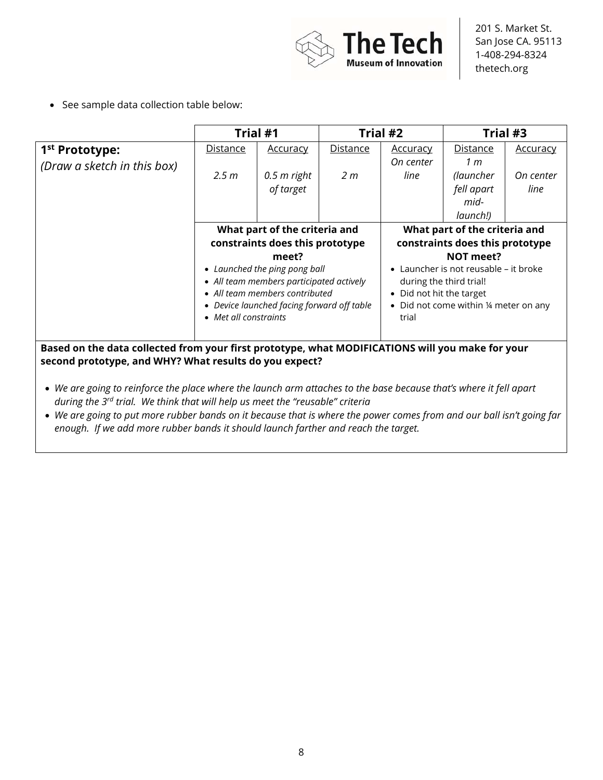

• See sample data collection table below:

|                                                                                                  | Trial #1                                   |                                 | Trial #2                      |                                        | Trial #3       |                 |
|--------------------------------------------------------------------------------------------------|--------------------------------------------|---------------------------------|-------------------------------|----------------------------------------|----------------|-----------------|
| 1 <sup>st</sup> Prototype:                                                                       | Distance                                   | <b>Accuracy</b>                 | <b>Distance</b>               | <b>Accuracy</b>                        | Distance       | <b>Accuracy</b> |
| (Draw a sketch in this box)                                                                      |                                            |                                 |                               | On center                              | 1 <sub>m</sub> |                 |
|                                                                                                  | 2.5 m                                      | $0.5$ m right                   | 2 m                           | line                                   | (launcher      | On center       |
|                                                                                                  |                                            | of target                       |                               |                                        | fell apart     | line            |
|                                                                                                  |                                            |                                 |                               |                                        | mid-           |                 |
|                                                                                                  |                                            |                                 |                               |                                        | launch!)       |                 |
|                                                                                                  | What part of the criteria and              |                                 | What part of the criteria and |                                        |                |                 |
|                                                                                                  |                                            | constraints does this prototype |                               | constraints does this prototype        |                |                 |
|                                                                                                  | meet?                                      |                                 |                               | NOT meet?                              |                |                 |
|                                                                                                  | • Launched the ping pong ball              |                                 |                               | Launcher is not reusable – it broke    |                |                 |
|                                                                                                  | • All team members participated actively   |                                 |                               | during the third trial!                |                |                 |
|                                                                                                  | • All team members contributed             |                                 |                               | • Did not hit the target               |                |                 |
|                                                                                                  | • Device launched facing forward off table |                                 |                               | • Did not come within 1/4 meter on any |                |                 |
|                                                                                                  | • Met all constraints                      |                                 |                               | trial                                  |                |                 |
|                                                                                                  |                                            |                                 |                               |                                        |                |                 |
| Based on the data collected from your first prototype, what MODIFICATIONS will you make for your |                                            |                                 |                               |                                        |                |                 |

**second prototype, and WHY? What results do you expect?** 

• *We are going to put more rubber bands on it because that is where the power comes from and our ball isn't going far enough. If we add more rubber bands it should launch farther and reach the target.*

<sup>•</sup> *We are going to reinforce the place where the launch arm attaches to the base because that's where it fell apart during the 3rd trial. We think that will help us meet the "reusable" criteria*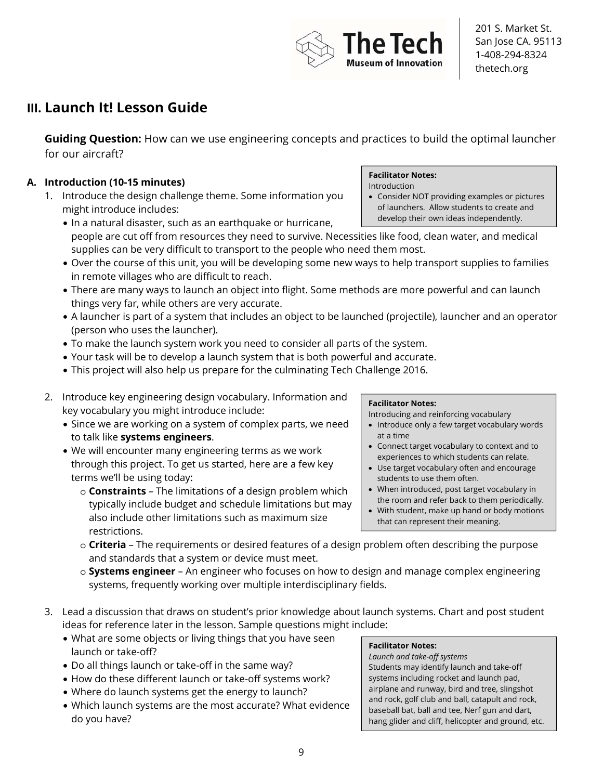

# **III. Launch It! Lesson Guide**

**Guiding Question:** How can we use engineering concepts and practices to build the optimal launcher for our aircraft?

## **A. Introduction (10-15 minutes)**

- 1. Introduce the design challenge theme. Some information you might introduce includes:
	- In a natural disaster, such as an earthquake or hurricane, people are cut off from resources they need to survive. Necessities like food, clean water, and medical supplies can be very difficult to transport to the people who need them most.
	- Over the course of this unit, you will be developing some new ways to help transport supplies to families in remote villages who are difficult to reach.
	- There are many ways to launch an object into flight. Some methods are more powerful and can launch things very far, while others are very accurate.
	- A launcher is part of a system that includes an object to be launched (projectile), launcher and an operator (person who uses the launcher).
	- To make the launch system work you need to consider all parts of the system.
	- Your task will be to develop a launch system that is both powerful and accurate.
	- This project will also help us prepare for the culminating Tech Challenge 2016.
- 2. Introduce key engineering design vocabulary. Information and key vocabulary you might introduce include:
	- Since we are working on a system of complex parts, we need to talk like **systems engineers**.
	- We will encounter many engineering terms as we work through this project. To get us started, here are a few key terms we'll be using today:
		- o **Constraints** The limitations of a design problem which typically include budget and schedule limitations but may also include other limitations such as maximum size restrictions.

#### **Facilitator Notes:**

Introducing and reinforcing vocabulary

- Introduce only a few target vocabulary words at a time
- Connect target vocabulary to context and to experiences to which students can relate.
- Use target vocabulary often and encourage students to use them often.
- When introduced, post target vocabulary in the room and refer back to them periodically.
- With student, make up hand or body motions that can represent their meaning.
- o **Criteria** The requirements or desired features of a design problem often describing the purpose and standards that a system or device must meet.
- o **Systems engineer** An engineer who focuses on how to design and manage complex engineering systems, frequently working over multiple interdisciplinary fields.
- 3. Lead a discussion that draws on student's prior knowledge about launch systems. Chart and post student ideas for reference later in the lesson. Sample questions might include:
	- What are some objects or living things that you have seen launch or take-off?
	- Do all things launch or take-off in the same way?
	- How do these different launch or take-off systems work?
	- Where do launch systems get the energy to launch?
	- Which launch systems are the most accurate? What evidence do you have?

## **Facilitator Notes:**

*Launch and take-off systems* Students may identify launch and take-off systems including rocket and launch pad, airplane and runway, bird and tree, slingshot and rock, golf club and ball, catapult and rock, baseball bat, ball and tee, Nerf gun and dart, hang glider and cliff, helicopter and ground, etc.

## **Facilitator Notes:**

**The Tecl** 

ıseum of Innovation

Introduction • Consider NOT providing examples or pictures of launchers. Allow students to create and develop their own ideas independently.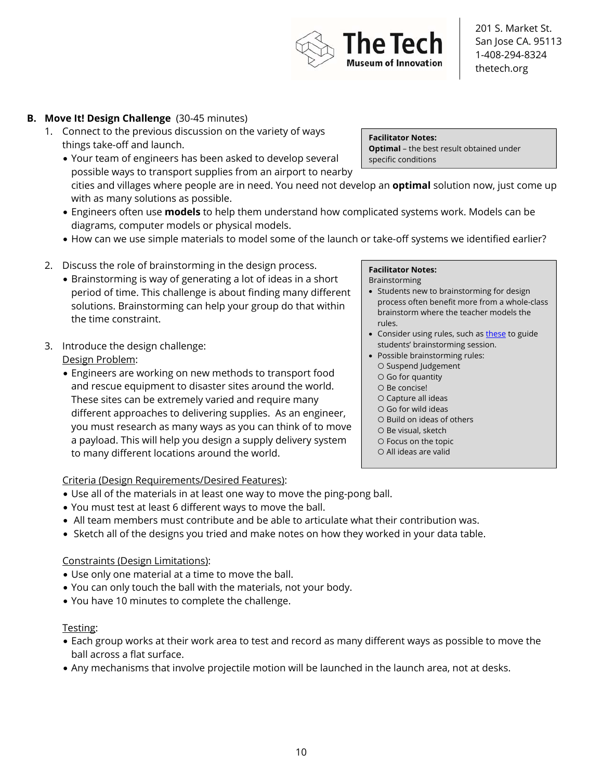## **B. Move It! Design Challenge** (30-45 minutes)

- 1. Connect to the previous discussion on the variety of ways things take-off and launch.
	- Your team of engineers has been asked to develop several possible ways to transport supplies from an airport to nearby cities and villages where people are in need. You need not develop an **optimal** solution now, just come up with as many solutions as possible. specific conditions
	- Engineers often use **models** to help them understand how complicated systems work. Models can be diagrams, computer models or physical models.
	- How can we use simple materials to model some of the launch or take-off systems we identified earlier?
- 2. Discuss the role of brainstorming in the design process.
	- Brainstorming is way of generating a lot of ideas in a short period of time. This challenge is about finding many different solutions. Brainstorming can help your group do that within the time constraint.
- 3. Introduce the design challenge:

Design Problem:

• Engineers are working on new methods to transport food and rescue equipment to disaster sites around the world. These sites can be extremely varied and require many different approaches to delivering supplies. As an engineer, you must research as many ways as you can think of to move a payload. This will help you design a supply delivery system to many different locations around the world.

#### **Facilitator Notes:**

Brainstorming

- Students new to brainstorming for design process often benefit more from a whole-class brainstorm where the teacher models the rules.
- Consider using rules, such as these to guide students' brainstorming session.
- Possible brainstorming rules: ○ Suspend Judgement
	- Go for quantity
	- Be concise!
	- Capture all ideas
	- Go for wild ideas
	- Build on ideas of others
	- Be visual, sketch
	- Focus on the topic
- All ideas are valid

Criteria (Design Requirements/Desired Features):

- Use all of the materials in at least one way to move the ping-pong ball.
- You must test at least 6 different ways to move the ball.
- All team members must contribute and be able to articulate what their contribution was.
- Sketch all of the designs you tried and make notes on how they worked in your data table.

#### Constraints (Design Limitations):

- Use only one material at a time to move the ball.
- You can only touch the ball with the materials, not your body.
- You have 10 minutes to complete the challenge.

#### Testing:

- Each group works at their work area to test and record as many different ways as possible to move the ball across a flat surface.
- Any mechanisms that involve projectile motion will be launched in the launch area, not at desks.

**Facilitator Notes: Optimal** – the best result obtained under

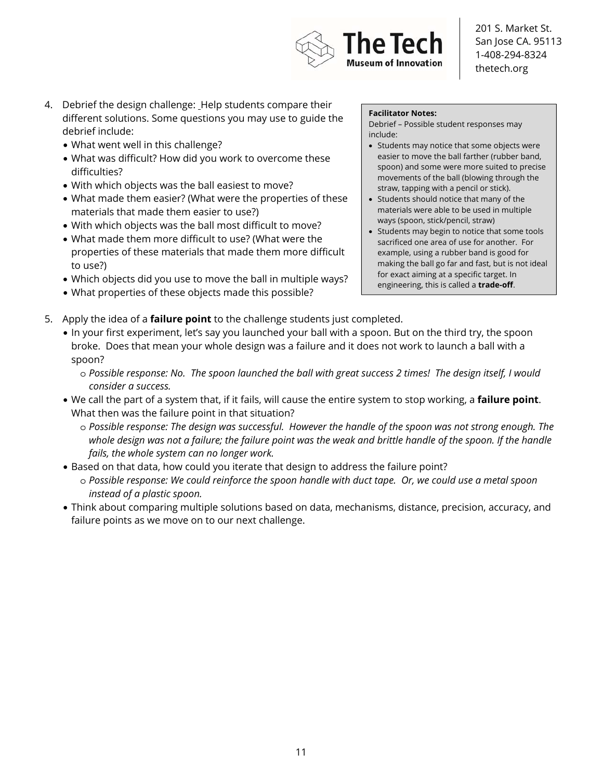

- 4. Debrief the design challenge: Help students compare their different solutions. Some questions you may use to guide the debrief include:
	- What went well in this challenge?
	- What was difficult? How did you work to overcome these difficulties?
	- With which objects was the ball easiest to move?
	- What made them easier? (What were the properties of these materials that made them easier to use?)
	- With which objects was the ball most difficult to move?
	- What made them more difficult to use? (What were the properties of these materials that made them more difficult to use?)
	- Which objects did you use to move the ball in multiple ways?
	- What properties of these objects made this possible?

#### **Facilitator Notes:**

Debrief – Possible student responses may include:

- Students may notice that some objects were easier to move the ball farther (rubber band, spoon) and some were more suited to precise movements of the ball (blowing through the straw, tapping with a pencil or stick).
- Students should notice that many of the materials were able to be used in multiple ways (spoon, stick/pencil, straw)
- Students may begin to notice that some tools sacrificed one area of use for another. For example, using a rubber band is good for making the ball go far and fast, but is not ideal for exact aiming at a specific target. In engineering, this is called a **trade-off**.
- 5. Apply the idea of a **failure point** to the challenge students just completed.
	- In your first experiment, let's say you launched your ball with a spoon. But on the third try, the spoon broke. Does that mean your whole design was a failure and it does not work to launch a ball with a spoon?
		- o *Possible response: No. The spoon launched the ball with great success 2 times! The design itself, I would consider a success.*
	- We call the part of a system that, if it fails, will cause the entire system to stop working, a **failure point**. What then was the failure point in that situation?
		- o *Possible response: The design was successful. However the handle of the spoon was not strong enough. The*  whole design was not a failure; the failure point was the weak and brittle handle of the spoon. If the handle *fails, the whole system can no longer work.*
	- Based on that data, how could you iterate that design to address the failure point?
		- o *Possible response: We could reinforce the spoon handle with duct tape. Or, we could use a metal spoon instead of a plastic spoon.*
	- Think about comparing multiple solutions based on data, mechanisms, distance, precision, accuracy, and failure points as we move on to our next challenge.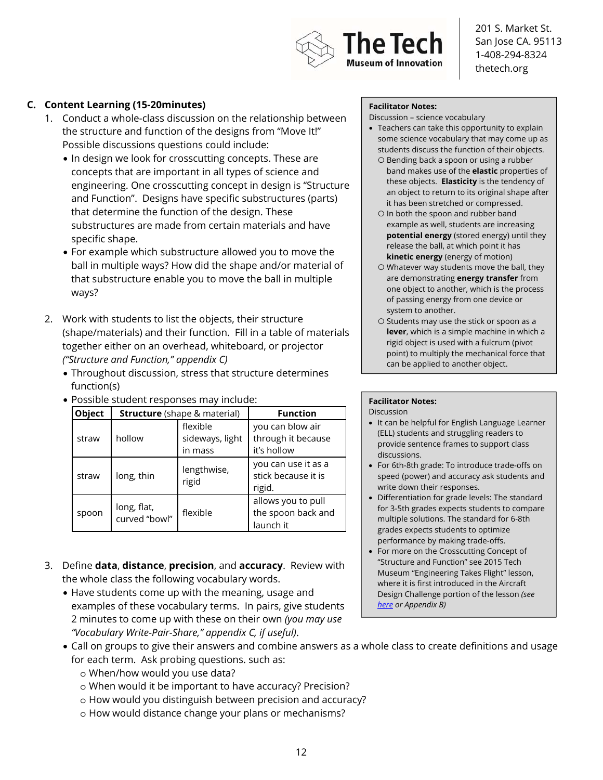

### **C. Content Learning (15-20minutes)**

- 1. Conduct a whole-class discussion on the relationship between the structure and function of the designs from "Move It!" Possible discussions questions could include:
	- In design we look for crosscutting concepts. These are concepts that are important in all types of science and engineering. One crosscutting concept in design is "Structure and Function". Designs have specific substructures (parts) that determine the function of the design. These substructures are made from certain materials and have specific shape.
	- For example which substructure allowed you to move the ball in multiple ways? How did the shape and/or material of that substructure enable you to move the ball in multiple ways?
- 2. Work with students to list the objects, their structure (shape/materials) and their function. Fill in a table of materials together either on an overhead, whiteboard, or projector *("Structure and Function," appendix C)*
	- Throughout discussion, stress that structure determines function(s)
	- Possible student responses may include:

| Object |                              | <b>Structure</b> (shape & material)    | <b>Function</b>                                       |
|--------|------------------------------|----------------------------------------|-------------------------------------------------------|
| straw  | hollow                       | flexible<br>sideways, light<br>in mass | you can blow air<br>through it because<br>it's hollow |
| straw  | long, thin                   | lengthwise,<br>rigid                   | you can use it as a<br>stick because it is<br>rigid.  |
| spoon  | long, flat,<br>curved "bowl" | flexible                               | allows you to pull<br>the spoon back and<br>launch it |

- 3. Define **data**, **distance**, **precision**, and **accuracy**. Review with the whole class the following vocabulary words.
	- Have students come up with the meaning, usage and examples of these vocabulary terms. In pairs, give students 2 minutes to come up with these on their own *(you may use "Vocabulary Write-Pair-Share," appendix C, if useful)*.

#### **Facilitator Notes:**

Discussion – science vocabulary

- Teachers can take this opportunity to explain some science vocabulary that may come up as students discuss the function of their objects. ○ Bending back a spoon or using a rubber
	- band makes use of the **elastic** properties of these objects. **Elasticity** is the tendency of an object to return to its original shape after it has been stretched or compressed.
	- In both the spoon and rubber band example as well, students are increasing **potential energy** (stored energy) until they release the ball, at which point it has **kinetic energy** (energy of motion)
	- Whatever way students move the ball, they are demonstrating **energy transfer** from one object to another, which is the process of passing energy from one device or system to another.
	- Students may use the stick or spoon as a **lever**, which is a simple machine in which a rigid object is used with a fulcrum (pivot point) to multiply the mechanical force that can be applied to another object.

## **Facilitator Notes:**

Discussion

- It can be helpful for English Language Learner (ELL) students and struggling readers to provide sentence frames to support class discussions.
- For 6th-8th grade: To introduce trade-offs on speed (power) and accuracy ask students and write down their responses.
- Differentiation for grade levels: The standard for 3-5th grades expects students to compare multiple solutions. The standard for 6-8th grades expects students to optimize performance by making trade-offs.
- For more on the Crosscutting Concept of "Structure and Function" see 2015 Tech Museum "Engineering Takes Flight" lesson, where it is first introduced in the Aircraft Design Challenge portion of the lesson *(see here or Appendix B)*
- Call on groups to give their answers and combine answers as a whole class to create definitions and usage for each term. Ask probing questions. such as:
	- o When/how would you use data?
	- o When would it be important to have accuracy? Precision?
	- o How would you distinguish between precision and accuracy?
	- o How would distance change your plans or mechanisms?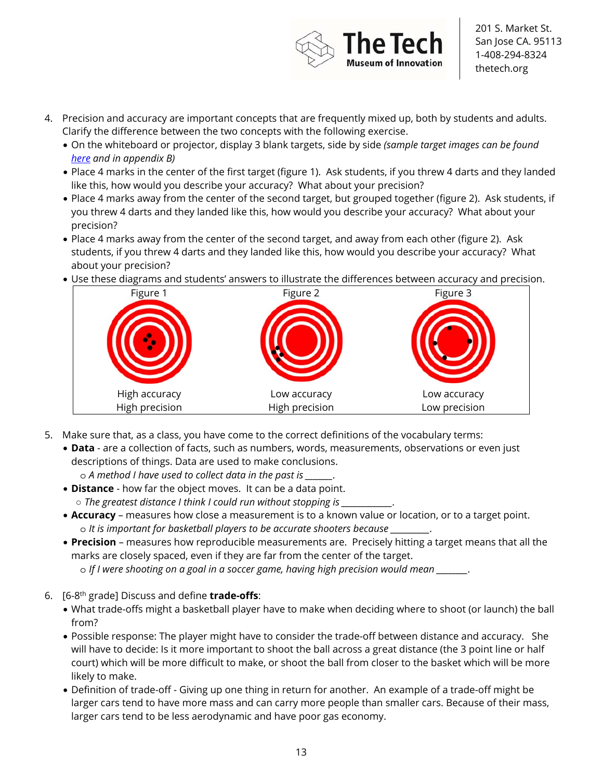

- 4. Precision and accuracy are important concepts that are frequently mixed up, both by students and adults. Clarify the difference between the two concepts with the following exercise.
	- On the whiteboard or projector, display 3 blank targets, side by side *(sample target images can be found here and in appendix B)*
	- Place 4 marks in the center of the first target (figure 1). Ask students, if you threw 4 darts and they landed like this, how would you describe your accuracy? What about your precision?
	- Place 4 marks away from the center of the second target, but grouped together (figure 2). Ask students, if you threw 4 darts and they landed like this, how would you describe your accuracy? What about your precision?
	- Place 4 marks away from the center of the second target, and away from each other (figure 2). Ask students, if you threw 4 darts and they landed like this, how would you describe your accuracy? What about your precision?
	- Use these diagrams and students' answers to illustrate the differences between accuracy and precision.



- 5. Make sure that, as a class, you have come to the correct definitions of the vocabulary terms:
	- **Data** are a collection of facts, such as numbers, words, measurements, observations or even just descriptions of things. Data are used to make conclusions.
		- o *A method I have used to collect data in the past is \_\_\_\_\_\_\_.*
	- **Distance** how far the object moves. It can be a data point.  $\circ$  *The greatest distance I think I could run without stopping is \_\_\_*
	- **Accuracy**  measures how close a measurement is to a known value or location, or to a target point. o *It is important for basketball players to be accurate shooters because \_\_\_\_\_\_\_\_\_\_.*
	- **Precision** measures how reproducible measurements are. Precisely hitting a target means that all the marks are closely spaced, even if they are far from the center of the target.
		- o *If I were shooting on a goal in a soccer game, having high precision would mean \_\_\_\_\_\_\_\_.*
- 6. [6-8th grade] Discuss and define **trade-offs**:
	- What trade-offs might a basketball player have to make when deciding where to shoot (or launch) the ball from?
	- Possible response: The player might have to consider the trade-off between distance and accuracy. She will have to decide: Is it more important to shoot the ball across a great distance (the 3 point line or half court) which will be more difficult to make, or shoot the ball from closer to the basket which will be more likely to make.
	- Definition of trade-off Giving up one thing in return for another. An example of a trade-off might be larger cars tend to have more mass and can carry more people than smaller cars. Because of their mass, larger cars tend to be less aerodynamic and have poor gas economy.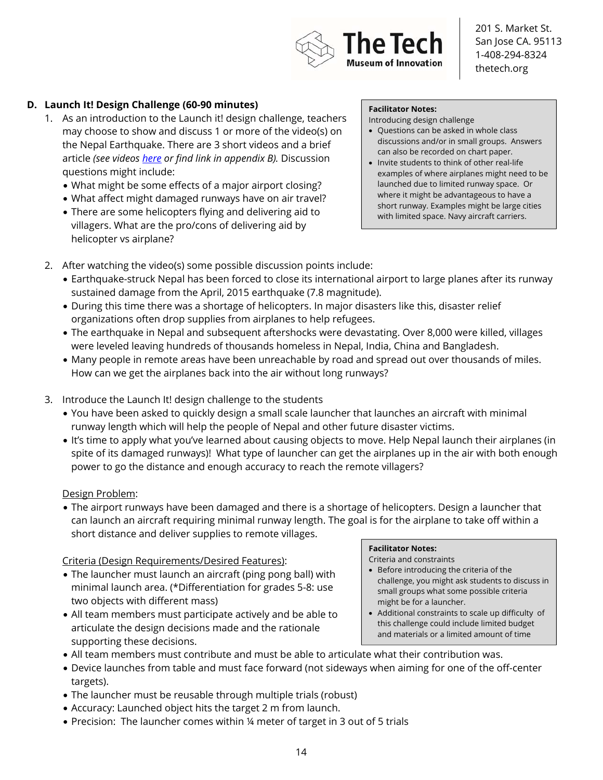

### **D. Launch It! Design Challenge (60-90 minutes)**

- 1. As an introduction to the Launch it! design challenge, teachers may choose to show and discuss 1 or more of the video(s) on the Nepal Earthquake. There are 3 short videos and a brief article *(see videos here or find link in appendix B).* Discussion questions might include:
	- What might be some effects of a major airport closing?
	- What affect might damaged runways have on air travel?
	- There are some helicopters flying and delivering aid to villagers. What are the pro/cons of delivering aid by helicopter vs airplane?

#### **Facilitator Notes:**

Introducing design challenge

- Questions can be asked in whole class discussions and/or in small groups. Answers can also be recorded on chart paper.
- Invite students to think of other real-life examples of where airplanes might need to be launched due to limited runway space. Or where it might be advantageous to have a short runway. Examples might be large cities with limited space. Navy aircraft carriers.
- 2. After watching the video(s) some possible discussion points include:
	- Earthquake-struck Nepal has been forced to close its international airport to large planes after its runway sustained damage from the April, 2015 earthquake (7.8 magnitude).
	- During this time there was a shortage of helicopters. In major disasters like this, disaster relief organizations often drop supplies from airplanes to help refugees.
	- The earthquake in Nepal and subsequent aftershocks were devastating. Over 8,000 were killed, villages were leveled leaving hundreds of thousands homeless in Nepal, India, China and Bangladesh.
	- Many people in remote areas have been unreachable by road and spread out over thousands of miles. How can we get the airplanes back into the air without long runways?
- 3. Introduce the Launch It! design challenge to the students
	- You have been asked to quickly design a small scale launcher that launches an aircraft with minimal runway length which will help the people of Nepal and other future disaster victims.
	- It's time to apply what you've learned about causing objects to move. Help Nepal launch their airplanes (in spite of its damaged runways)! What type of launcher can get the airplanes up in the air with both enough power to go the distance and enough accuracy to reach the remote villagers?

#### Design Problem:

• The airport runways have been damaged and there is a shortage of helicopters. Design a launcher that can launch an aircraft requiring minimal runway length. The goal is for the airplane to take off within a short distance and deliver supplies to remote villages.

#### Criteria (Design Requirements/Desired Features):

- The launcher must launch an aircraft (ping pong ball) with minimal launch area. (\*Differentiation for grades 5-8: use two objects with different mass)
- All team members must participate actively and be able to articulate the design decisions made and the rationale supporting these decisions.

#### **Facilitator Notes:**

Criteria and constraints

- Before introducing the criteria of the challenge, you might ask students to discuss in small groups what some possible criteria might be for a launcher.
- Additional constraints to scale up difficulty of this challenge could include limited budget and materials or a limited amount of time
- All team members must contribute and must be able to articulate what their contribution was.
- Device launches from table and must face forward (not sideways when aiming for one of the off-center targets).
- The launcher must be reusable through multiple trials (robust)
- Accuracy: Launched object hits the target 2 m from launch.
- Precision: The launcher comes within ¼ meter of target in 3 out of 5 trials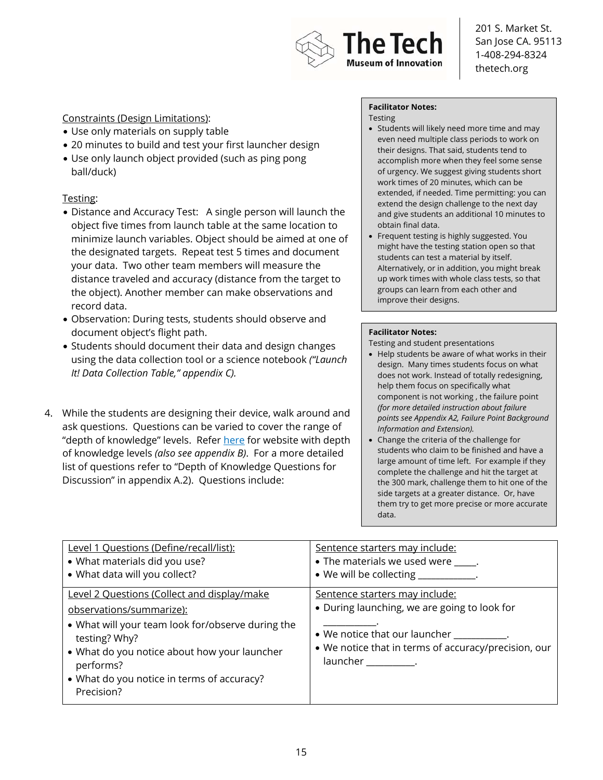

#### Constraints (Design Limitations):

- Use only materials on supply table
- 20 minutes to build and test your first launcher design
- Use only launch object provided (such as ping pong ball/duck)

#### Testing:

- Distance and Accuracy Test: A single person will launch the object five times from launch table at the same location to minimize launch variables. Object should be aimed at one of the designated targets. Repeat test 5 times and document your data. Two other team members will measure the distance traveled and accuracy (distance from the target to the object). Another member can make observations and record data.
- Observation: During tests, students should observe and document object's flight path.
- Students should document their data and design changes using the data collection tool or a science notebook *("Launch It! Data Collection Table," appendix C).*
- 4. While the students are designing their device, walk around and ask questions. Questions can be varied to cover the range of "depth of knowledge" levels. Refer here for website with depth of knowledge levels *(also see appendix B)*. For a more detailed list of questions refer to "Depth of Knowledge Questions for Discussion" in appendix A.2). Questions include:

#### **Facilitator Notes:**

Testing

- Students will likely need more time and may even need multiple class periods to work on their designs. That said, students tend to accomplish more when they feel some sense of urgency. We suggest giving students short work times of 20 minutes, which can be extended, if needed. Time permitting: you can extend the design challenge to the next day and give students an additional 10 minutes to obtain final data.
- Frequent testing is highly suggested. You might have the testing station open so that students can test a material by itself. Alternatively, or in addition, you might break up work times with whole class tests, so that groups can learn from each other and improve their designs.

#### **Facilitator Notes:**

Testing and student presentations

- Help students be aware of what works in their design. Many times students focus on what does not work. Instead of totally redesigning, help them focus on specifically what component is not working , the failure point *(for more detailed instruction about failure points see Appendix A2, Failure Point Background Information and Extension).*
- Change the criteria of the challenge for students who claim to be finished and have a large amount of time left. For example if they complete the challenge and hit the target at the 300 mark, challenge them to hit one of the side targets at a greater distance. Or, have them try to get more precise or more accurate data.

| Level 1 Questions (Define/recall/list):                                                                                                                                                                                                                                | Sentence starters may include:                                                                                                                                                                                |
|------------------------------------------------------------------------------------------------------------------------------------------------------------------------------------------------------------------------------------------------------------------------|---------------------------------------------------------------------------------------------------------------------------------------------------------------------------------------------------------------|
| • What materials did you use?                                                                                                                                                                                                                                          | • The materials we used were _____.                                                                                                                                                                           |
| • What data will you collect?                                                                                                                                                                                                                                          | • We will be collecting ___________.                                                                                                                                                                          |
| Level 2 Questions (Collect and display/make<br>observations/summarize):<br>• What will your team look for/observe during the<br>testing? Why?<br>• What do you notice about how your launcher<br>performs?<br>• What do you notice in terms of accuracy?<br>Precision? | Sentence starters may include:<br>• During launching, we are going to look for<br>• We notice that our launcher __________.<br>• We notice that in terms of accuracy/precision, our<br>launcher ____________. |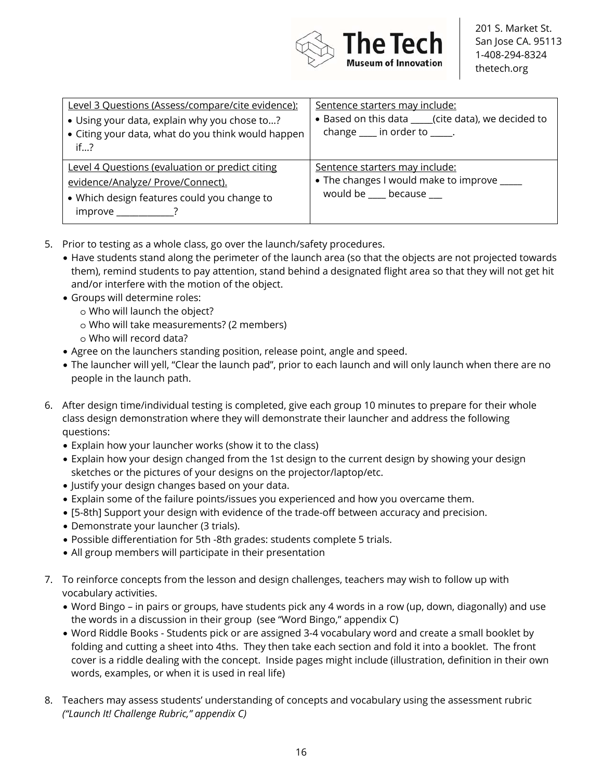

| Level 3 Questions (Assess/compare/cite evidence):<br>• Using your data, explain why you chose to?<br>• Citing your data, what do you think would happen<br>if? | Sentence starters may include:<br>• Based on this data ____(cite data), we decided to<br>change $\frac{1}{\sqrt{1-\frac{1}{2}}}$ in order to $\frac{1}{\sqrt{1-\frac{1}{2}}}$ . |
|----------------------------------------------------------------------------------------------------------------------------------------------------------------|---------------------------------------------------------------------------------------------------------------------------------------------------------------------------------|
| Level 4 Questions (evaluation or predict citing<br>evidence/Analyze/ Prove/Connect).<br>• Which design features could you change to<br>$improve$ ?             | Sentence starters may include:<br>• The changes I would make to improve _____<br>would be ____ because ___                                                                      |

- 5. Prior to testing as a whole class, go over the launch/safety procedures.
	- Have students stand along the perimeter of the launch area (so that the objects are not projected towards them), remind students to pay attention, stand behind a designated flight area so that they will not get hit and/or interfere with the motion of the object.
	- Groups will determine roles:
		- o Who will launch the object?
		- o Who will take measurements? (2 members)
		- o Who will record data?
	- Agree on the launchers standing position, release point, angle and speed.
	- The launcher will yell, "Clear the launch pad", prior to each launch and will only launch when there are no people in the launch path.
- 6. After design time/individual testing is completed, give each group 10 minutes to prepare for their whole class design demonstration where they will demonstrate their launcher and address the following questions:
	- Explain how your launcher works (show it to the class)
	- Explain how your design changed from the 1st design to the current design by showing your design sketches or the pictures of your designs on the projector/laptop/etc.
	- Justify your design changes based on your data.
	- Explain some of the failure points/issues you experienced and how you overcame them.
	- [5-8th] Support your design with evidence of the trade-off between accuracy and precision.
	- Demonstrate your launcher (3 trials).
	- Possible differentiation for 5th -8th grades: students complete 5 trials.
	- All group members will participate in their presentation
- 7. To reinforce concepts from the lesson and design challenges, teachers may wish to follow up with vocabulary activities.
	- Word Bingo in pairs or groups, have students pick any 4 words in a row (up, down, diagonally) and use the words in a discussion in their group (see "Word Bingo," appendix C)
	- Word Riddle Books Students pick or are assigned 3-4 vocabulary word and create a small booklet by folding and cutting a sheet into 4ths. They then take each section and fold it into a booklet. The front cover is a riddle dealing with the concept. Inside pages might include (illustration, definition in their own words, examples, or when it is used in real life)
- 8. Teachers may assess students' understanding of concepts and vocabulary using the assessment rubric *("Launch It! Challenge Rubric," appendix C)*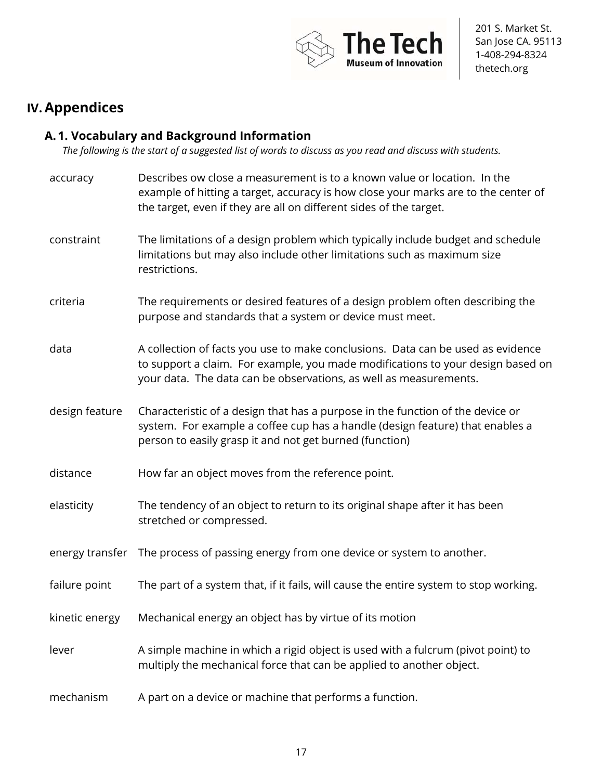

# **IV.Appendices**

## **A. 1. Vocabulary and Background Information**

*The following is the start of a suggested list of words to discuss as you read and discuss with students.*

| accuracy        | Describes ow close a measurement is to a known value or location. In the<br>example of hitting a target, accuracy is how close your marks are to the center of<br>the target, even if they are all on different sides of the target.    |
|-----------------|-----------------------------------------------------------------------------------------------------------------------------------------------------------------------------------------------------------------------------------------|
| constraint      | The limitations of a design problem which typically include budget and schedule<br>limitations but may also include other limitations such as maximum size<br>restrictions.                                                             |
| criteria        | The requirements or desired features of a design problem often describing the<br>purpose and standards that a system or device must meet.                                                                                               |
| data            | A collection of facts you use to make conclusions. Data can be used as evidence<br>to support a claim. For example, you made modifications to your design based on<br>your data. The data can be observations, as well as measurements. |
| design feature  | Characteristic of a design that has a purpose in the function of the device or<br>system. For example a coffee cup has a handle (design feature) that enables a<br>person to easily grasp it and not get burned (function)              |
| distance        | How far an object moves from the reference point.                                                                                                                                                                                       |
| elasticity      | The tendency of an object to return to its original shape after it has been<br>stretched or compressed.                                                                                                                                 |
| energy transfer | The process of passing energy from one device or system to another.                                                                                                                                                                     |
| failure point   | The part of a system that, if it fails, will cause the entire system to stop working.                                                                                                                                                   |
| kinetic energy  | Mechanical energy an object has by virtue of its motion                                                                                                                                                                                 |
| lever           | A simple machine in which a rigid object is used with a fulcrum (pivot point) to<br>multiply the mechanical force that can be applied to another object.                                                                                |
| mechanism       | A part on a device or machine that performs a function.                                                                                                                                                                                 |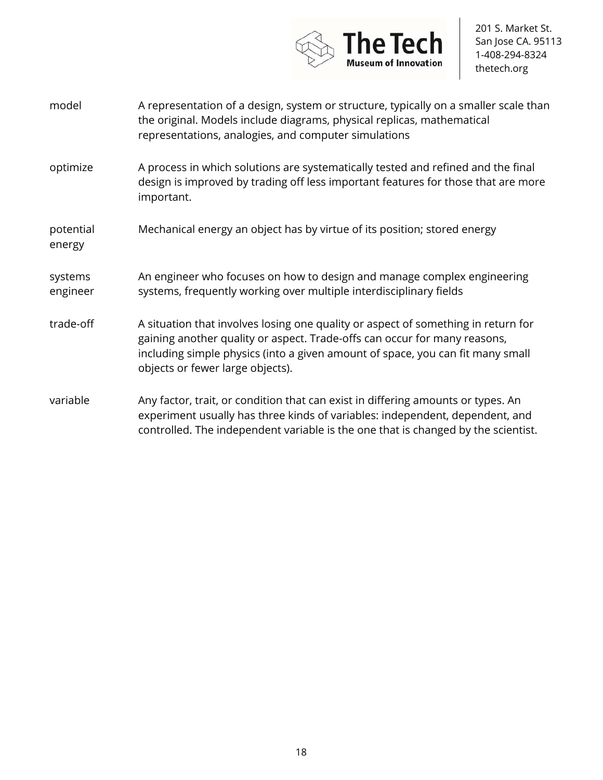

- model A representation of a design, system or structure, typically on a smaller scale than the original. Models include diagrams, physical replicas, mathematical representations, analogies, and computer simulations
- optimize A process in which solutions are systematically tested and refined and the final design is improved by trading off less important features for those that are more important.
- potential energy Mechanical energy an object has by virtue of its position; stored energy
- systems engineer An engineer who focuses on how to design and manage complex engineering systems, frequently working over multiple interdisciplinary fields
- trade-off A situation that involves losing one quality or aspect of something in return for gaining another quality or aspect. Trade-offs can occur for many reasons, including simple physics (into a given amount of space, you can fit many small objects or fewer large objects).
- variable Any factor, trait, or condition that can exist in differing amounts or types. An experiment usually has three kinds of variables: independent, dependent, and controlled. The independent variable is the one that is changed by the scientist.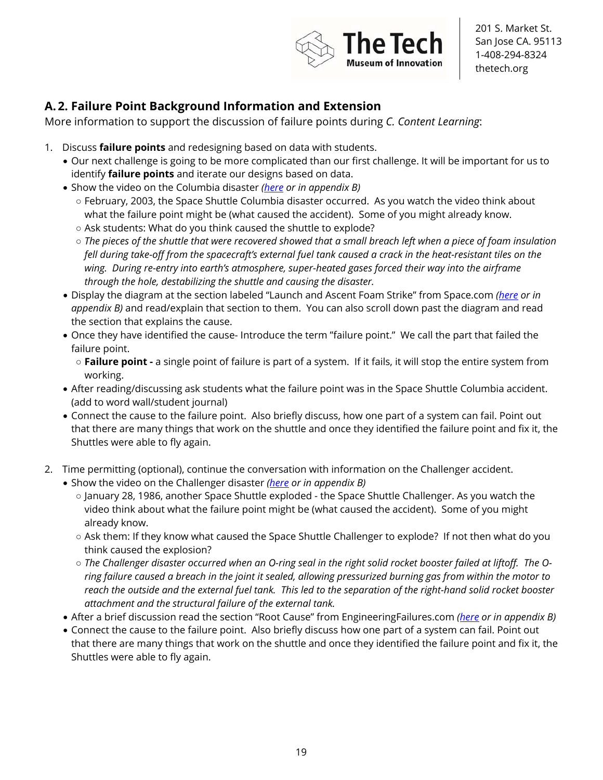

## **A. 2. Failure Point Background Information and Extension**

More information to support the discussion of failure points during *C. Content Learning*:

- 1. Discuss **failure points** and redesigning based on data with students.
	- Our next challenge is going to be more complicated than our first challenge. It will be important for us to identify **failure points** and iterate our designs based on data.
	- Show the video on the Columbia disaster *(here or in appendix B)*
		- February, 2003, the Space Shuttle Columbia disaster occurred. As you watch the video think about what the failure point might be (what caused the accident). Some of you might already know.
		- Ask students: What do you think caused the shuttle to explode?
		- *The pieces of the shuttle that were recovered showed that a small breach left when a piece of foam insulation*  fell during take-off from the spacecraft's external fuel tank caused a crack in the heat-resistant tiles on the *wing. During re-entry into earth's atmosphere, super-heated gases forced their way into the airframe through the hole, destabilizing the shuttle and causing the disaster.*
	- Display the diagram at the section labeled "Launch and Ascent Foam Strike" from Space.com *(here or in appendix B)* and read/explain that section to them. You can also scroll down past the diagram and read the section that explains the cause.
	- Once they have identified the cause- Introduce the term "failure point." We call the part that failed the failure point.
		- **Failure point** a single point of failure is part of a system. If it fails, it will stop the entire system from working.
	- After reading/discussing ask students what the failure point was in the Space Shuttle Columbia accident. (add to word wall/student journal)
	- Connect the cause to the failure point. Also briefly discuss, how one part of a system can fail. Point out that there are many things that work on the shuttle and once they identified the failure point and fix it, the Shuttles were able to fly again.
- 2. Time permitting (optional), continue the conversation with information on the Challenger accident.
	- Show the video on the Challenger disaster *(here or in appendix B)*
		- January 28, 1986, another Space Shuttle exploded the Space Shuttle Challenger. As you watch the video think about what the failure point might be (what caused the accident). Some of you might already know.
		- Ask them: If they know what caused the Space Shuttle Challenger to explode? If not then what do you think caused the explosion?
		- *The Challenger disaster occurred when an O-ring seal in the right solid rocket booster failed at liftoff. The Oring failure caused a breach in the joint it sealed, allowing pressurized burning gas from within the motor to reach the outside and the external fuel tank. This led to the separation of the right-hand solid rocket booster attachment and the structural failure of the external tank.*
	- After a brief discussion read the section "Root Cause" from EngineeringFailures.com *(here or in appendix B)*
	- Connect the cause to the failure point. Also briefly discuss how one part of a system can fail. Point out that there are many things that work on the shuttle and once they identified the failure point and fix it, the Shuttles were able to fly again.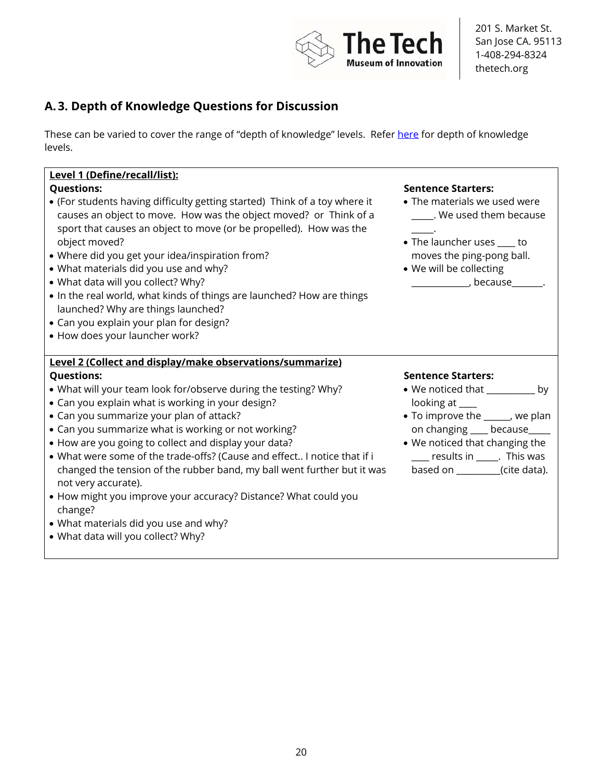

## **A. 3. Depth of Knowledge Questions for Discussion**

These can be varied to cover the range of "depth of knowledge" levels. Refer here for depth of knowledge levels.

## **Level 1 (Define/recall/list):**

- (For students having difficulty getting started) Think of a toy where it causes an object to move. How was the object moved? or Think of a sport that causes an object to move (or be propelled). How was the object moved?
- Where did you get your idea/inspiration from?
- What materials did you use and why?
- What data will you collect? Why?
- In the real world, what kinds of things are launched? How are things launched? Why are things launched?
- Can you explain your plan for design?
- How does your launcher work?

### **Level 2 (Collect and display/make observations/summarize)**

- What will your team look for/observe during the testing? Why?
- Can you explain what is working in your design?
- Can you summarize your plan of attack?
- Can you summarize what is working or not working?
- How are you going to collect and display your data?
- What were some of the trade-offs? (Cause and effect.. I notice that if i changed the tension of the rubber band, my ball went further but it was not very accurate).
- How might you improve your accuracy? Distance? What could you change?
- What materials did you use and why?
- What data will you collect? Why?

#### **Questions: Sentence Starters:**

- The materials we used were \_\_\_\_\_. We used them because
- $\overline{\phantom{a}}$ . • The launcher uses \_\_\_\_ to moves the ping-pong ball.
- We will be collecting  $\blacksquare$ , because

#### **Questions: Sentence Starters:**

- We noticed that by looking at \_\_\_\_
- To improve the \_\_\_\_\_\_, we plan on changing \_\_\_\_ because\_\_\_\_\_
- We noticed that changing the \_\_\_\_ results in \_\_\_\_\_. This was based on \_\_\_\_\_\_\_\_\_\_(cite data).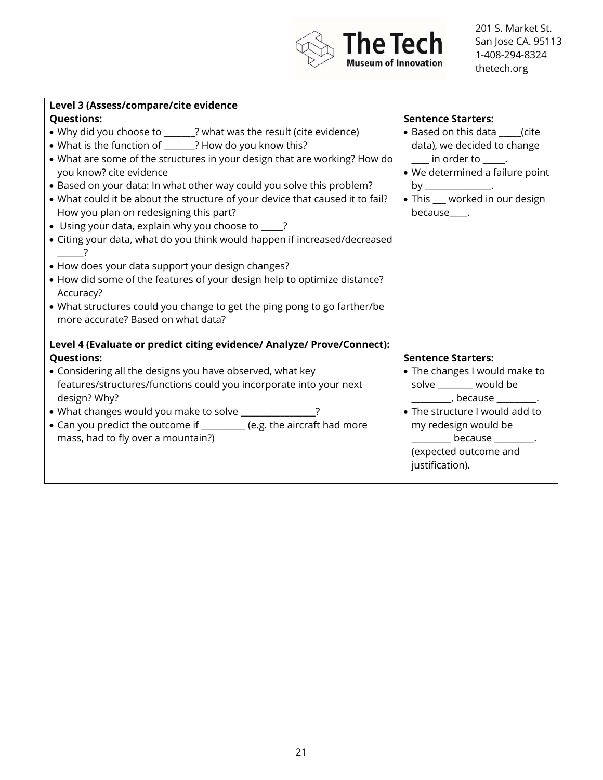

#### **Level 3 (Assess/compare/cite evidence**

- Why did you choose to \_\_\_\_\_\_\_? what was the result (cite evidence)
- What is the function of \_\_\_\_\_\_\_? How do you know this?
- What are some of the structures in your design that are working? How do you know? cite evidence
- Based on your data: In what other way could you solve this problem?
- What could it be about the structure of your device that caused it to fail? How you plan on redesigning this part?
- Using your data, explain why you choose to \_\_\_\_\_?
- Citing your data, what do you think would happen if increased/decreased  $\overline{\phantom{a}}$
- How does your data support your design changes?
- How did some of the features of your design help to optimize distance? Accuracy?
- What structures could you change to get the ping pong to go farther/be more accurate? Based on what data?

## **Level 4 (Evaluate or predict citing evidence/ Analyze/ Prove/Connect): Questions: Sentence Starters:**

- Considering all the designs you have observed, what key features/structures/functions could you incorporate into your next design? Why?
- What changes would you make to solve \_\_\_\_\_\_\_\_\_\_\_\_\_\_?
- Can you predict the outcome if \_\_\_\_\_\_\_\_\_\_ (e.g. the aircraft had more mass, had to fly over a mountain?)

#### **Questions: Sentence Starters:**

- Based on this data \_\_\_\_\_(cite data), we decided to change  $\frac{1}{\sqrt{2}}$  in order to  $\frac{1}{\sqrt{2}}$ .
- We determined a failure point  $by$
- This \_\_\_ worked in our design because .

- The changes I would make to solve \_\_\_\_\_\_\_\_ would be  $\overline{\phantom{a}}$ , because
- The structure I would add to my redesign would be \_\_\_\_\_\_\_\_\_ because \_\_\_\_\_\_\_\_\_. (expected outcome and justification).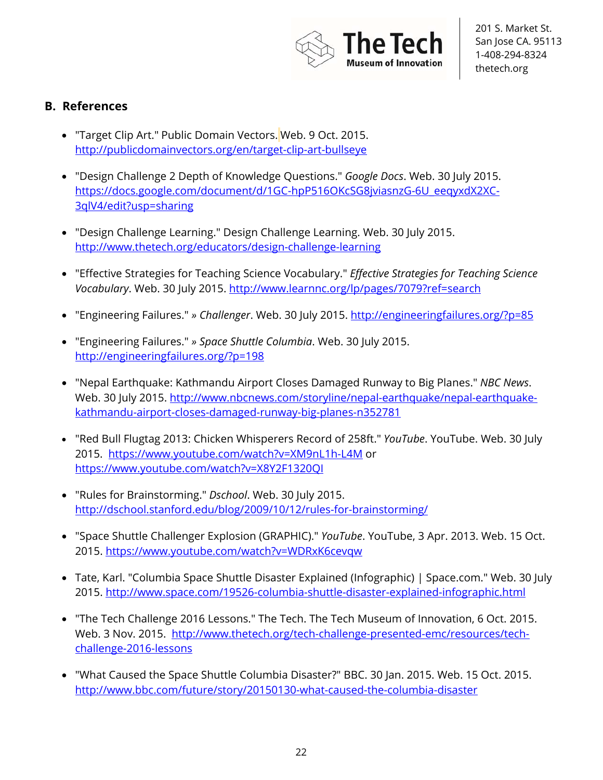

## **B. References**

- "Target Clip Art." Public Domain Vectors. Web. 9 Oct. 2015. http://publicdomainvectors.org/en/target-clip-art-bullseye
- "Design Challenge 2 Depth of Knowledge Questions." *Google Docs*. Web. 30 July 2015. https://docs.google.com/document/d/1GC-hpP516OKcSG8jviasnzG-6U\_eeqyxdX2XC-3qlV4/edit?usp=sharing
- "Design Challenge Learning." Design Challenge Learning. Web. 30 July 2015. http://www.thetech.org/educators/design-challenge-learning
- "Effective Strategies for Teaching Science Vocabulary." *Effective Strategies for Teaching Science Vocabulary*. Web. 30 July 2015. http://www.learnnc.org/lp/pages/7079?ref=search
- "Engineering Failures." *» Challenger*. Web. 30 July 2015. http://engineeringfailures.org/?p=85
- "Engineering Failures." *» Space Shuttle Columbia*. Web. 30 July 2015. http://engineeringfailures.org/?p=198
- "Nepal Earthquake: Kathmandu Airport Closes Damaged Runway to Big Planes." *NBC News*. Web. 30 July 2015. http://www.nbcnews.com/storyline/nepal-earthquake/nepal-earthquakekathmandu-airport-closes-damaged-runway-big-planes-n352781
- "Red Bull Flugtag 2013: Chicken Whisperers Record of 258ft." *YouTube*. YouTube. Web. 30 July 2015. https://www.youtube.com/watch?v=XM9nL1h-L4M or https://www.youtube.com/watch?v=X8Y2F1320QI
- "Rules for Brainstorming." *Dschool*. Web. 30 July 2015. http://dschool.stanford.edu/blog/2009/10/12/rules-for-brainstorming/
- "Space Shuttle Challenger Explosion (GRAPHIC)." *YouTube*. YouTube, 3 Apr. 2013. Web. 15 Oct. 2015. https://www.youtube.com/watch?v=WDRxK6cevqw
- Tate, Karl. "Columbia Space Shuttle Disaster Explained (Infographic) | Space.com." Web. 30 July 2015. http://www.space.com/19526-columbia-shuttle-disaster-explained-infographic.html
- "The Tech Challenge 2016 Lessons." The Tech. The Tech Museum of Innovation, 6 Oct. 2015. Web. 3 Nov. 2015. http://www.thetech.org/tech-challenge-presented-emc/resources/techchallenge-2016-lessons
- "What Caused the Space Shuttle Columbia Disaster?" BBC. 30 Jan. 2015. Web. 15 Oct. 2015. http://www.bbc.com/future/story/20150130-what-caused-the-columbia-disaster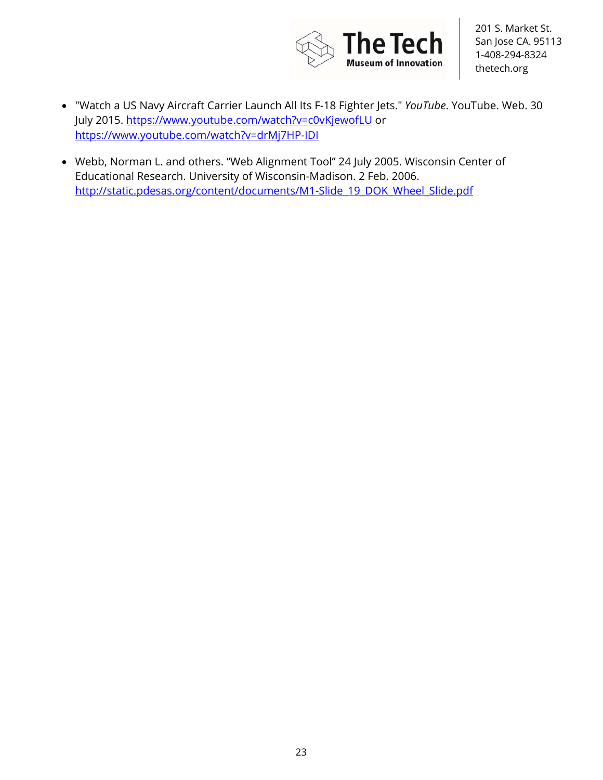

- "Watch a US Navy Aircraft Carrier Launch All Its F-18 Fighter Jets." *YouTube*. YouTube. Web. 30 July 2015. https://www.youtube.com/watch?v=c0vKjewofLU or https://www.youtube.com/watch?v=drMj7HP-IDI
- Webb, Norman L. and others. "Web Alignment Tool" 24 July 2005. Wisconsin Center of Educational Research. University of Wisconsin-Madison. 2 Feb. 2006. http://static.pdesas.org/content/documents/M1-Slide 19\_DOK\_Wheel\_Slide.pdf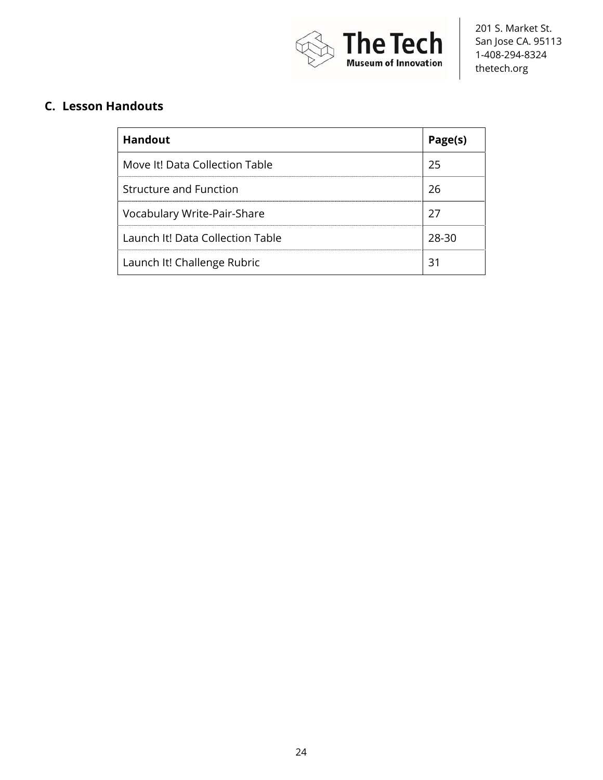

## **C. Lesson Handouts**

| <b>Handout</b>                   | Page(s) |
|----------------------------------|---------|
| Move It! Data Collection Table   | 25      |
| <b>Structure and Function</b>    | 26      |
| Vocabulary Write-Pair-Share      | 27      |
| Launch It! Data Collection Table | 28-30   |
| Launch It! Challenge Rubric      | 31      |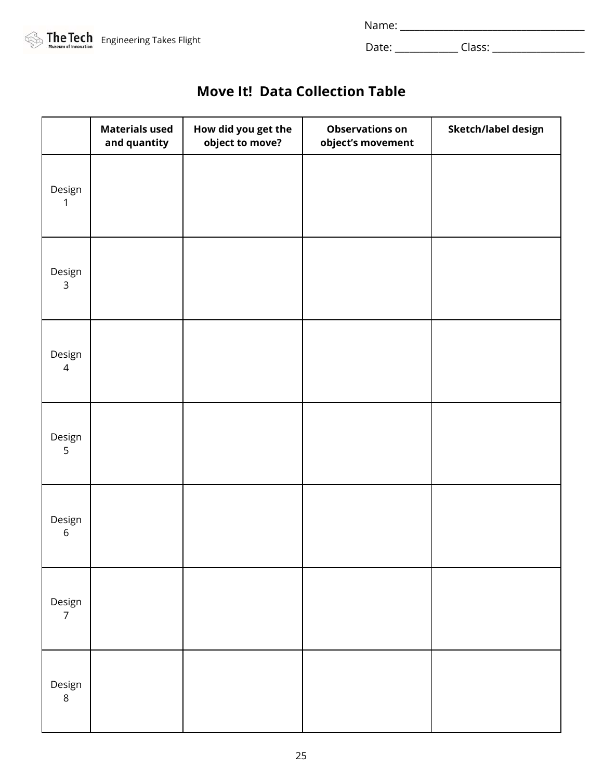| Name <sup>.</sup><br>. |  |  |  |
|------------------------|--|--|--|
|                        |  |  |  |



# **Move It! Data Collection Table**

|                          | <b>Materials used</b><br>and quantity | How did you get the<br>object to move? | <b>Observations on</b><br>object's movement | Sketch/label design |
|--------------------------|---------------------------------------|----------------------------------------|---------------------------------------------|---------------------|
| Design<br>1              |                                       |                                        |                                             |                     |
| Design<br>$\mathsf{3}$   |                                       |                                        |                                             |                     |
| Design<br>$\overline{4}$ |                                       |                                        |                                             |                     |
| Design<br>5              |                                       |                                        |                                             |                     |
| Design<br>$\,$ 6 $\,$    |                                       |                                        |                                             |                     |
| Design<br>$\overline{7}$ |                                       |                                        |                                             |                     |
| Design<br>$\,8\,$        |                                       |                                        |                                             |                     |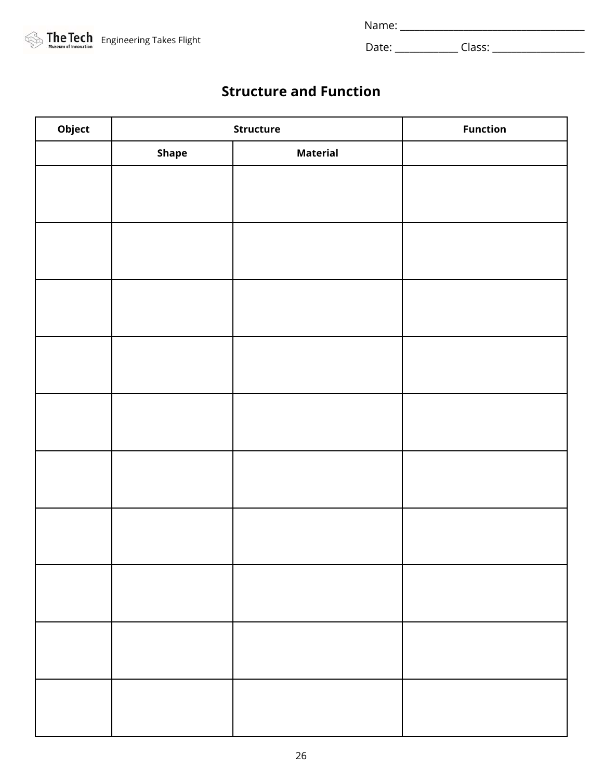|  | <b>The Tech</b> Engineering Takes Flight |
|--|------------------------------------------|
|  |                                          |

| Name <sup>.</sup><br>. |  |  |  |
|------------------------|--|--|--|
|                        |  |  |  |

# **Structure and Function**

| Object | Structure | <b>Function</b> |  |
|--------|-----------|-----------------|--|
|        | Shape     | <b>Material</b> |  |
|        |           |                 |  |
|        |           |                 |  |
|        |           |                 |  |
|        |           |                 |  |
|        |           |                 |  |
|        |           |                 |  |
|        |           |                 |  |
|        |           |                 |  |
|        |           |                 |  |
|        |           |                 |  |
|        |           |                 |  |
|        |           |                 |  |
|        |           |                 |  |
|        |           |                 |  |
|        |           |                 |  |
|        |           |                 |  |
|        |           |                 |  |
|        |           |                 |  |
|        |           |                 |  |
|        |           |                 |  |
|        |           |                 |  |
|        |           |                 |  |
|        |           |                 |  |
|        |           |                 |  |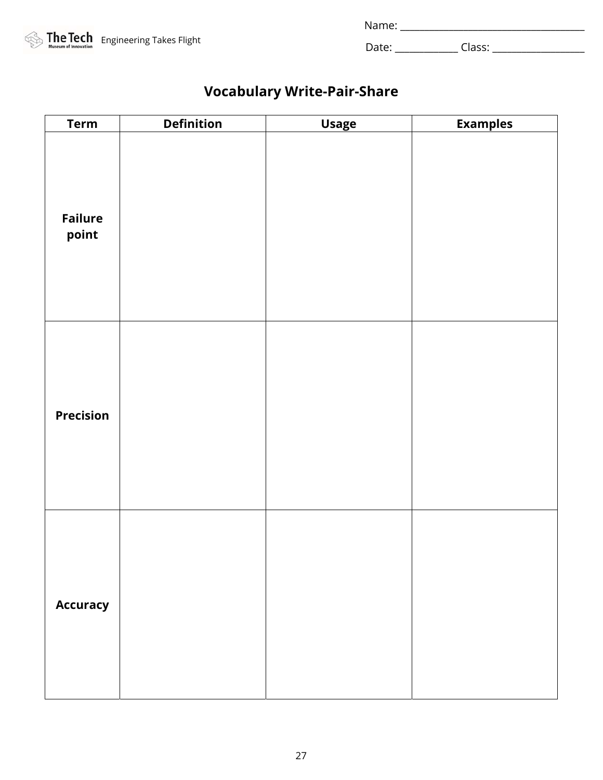| <b>The Tech</b> Engineering Takes Flight |
|------------------------------------------|
|                                          |

Name: \_\_\_\_\_\_\_\_\_\_\_\_\_\_\_\_\_\_\_\_\_\_\_\_\_\_\_\_\_\_\_\_\_\_\_\_\_\_

Date: \_\_\_\_\_\_\_\_\_\_\_\_\_ Class: \_\_\_\_\_\_\_\_\_\_\_\_\_\_\_\_\_\_\_

# **Vocabulary Write-Pair-Share**

| <b>Term</b>             | <b>Definition</b> | <b>Usage</b> | <b>Examples</b> |
|-------------------------|-------------------|--------------|-----------------|
| <b>Failure</b><br>point |                   |              |                 |
| <b>Precision</b>        |                   |              |                 |
| <b>Accuracy</b>         |                   |              |                 |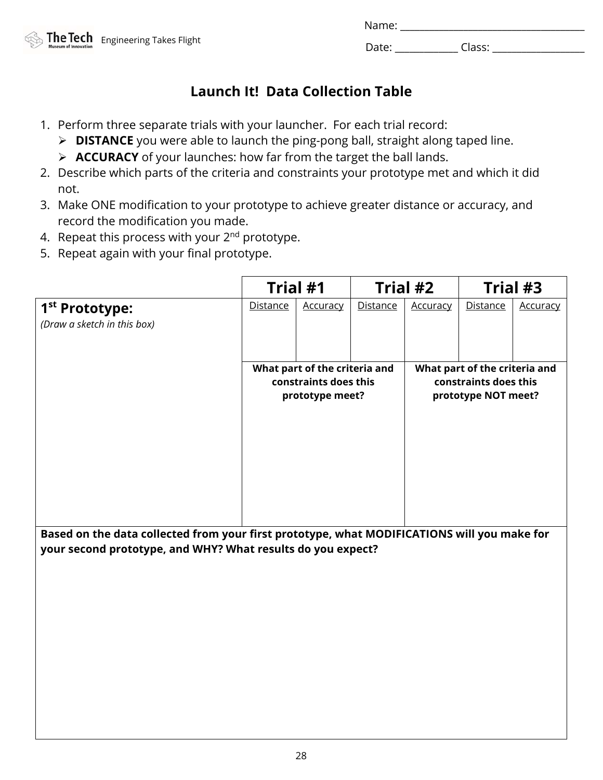| Name <sup>.</sup><br>. |  |  |  |
|------------------------|--|--|--|
|                        |  |  |  |

# **Launch It! Data Collection Table**

- 1. Perform three separate trials with your launcher. For each trial record:
	- **DISTANCE** you were able to launch the ping-pong ball, straight along taped line.
	- **ACCURACY** of your launches: how far from the target the ball lands.
- 2. Describe which parts of the criteria and constraints your prototype met and which it did not.
- 3. Make ONE modification to your prototype to achieve greater distance or accuracy, and record the modification you made.
- 4. Repeat this process with your  $2^{nd}$  prototype.
- 5. Repeat again with your final prototype.

|                                                                                             |                                                                           | Trial #1        |                 | Trial #2        |                                                                               | Trial #3        |
|---------------------------------------------------------------------------------------------|---------------------------------------------------------------------------|-----------------|-----------------|-----------------|-------------------------------------------------------------------------------|-----------------|
| 1 <sup>st</sup> Prototype:<br>(Draw a sketch in this box)                                   | <b>Distance</b>                                                           | <u>Accuracy</u> | <b>Distance</b> | <b>Accuracy</b> | <b>Distance</b>                                                               | <u>Accuracy</u> |
|                                                                                             | What part of the criteria and<br>constraints does this<br>prototype meet? |                 |                 |                 | What part of the criteria and<br>constraints does this<br>prototype NOT meet? |                 |
| Based on the data collected from your first prototype, what MODIFICATIONS will you make for |                                                                           |                 |                 |                 |                                                                               |                 |

**your second prototype, and WHY? What results do you expect?**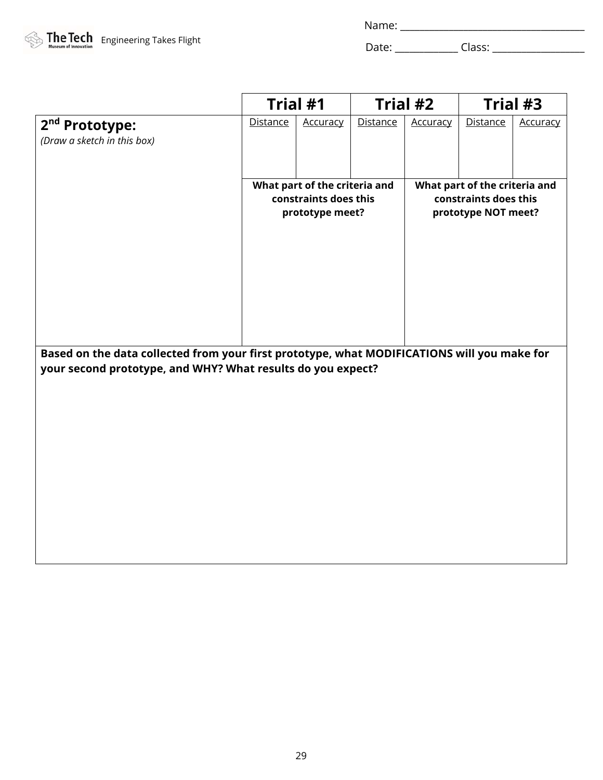| Name: |  |
|-------|--|
|       |  |

|                                                                                             | Trial #1        |                               |          | Trial #2 |                               | Trial #3        |
|---------------------------------------------------------------------------------------------|-----------------|-------------------------------|----------|----------|-------------------------------|-----------------|
| 2 <sup>nd</sup> Prototype:                                                                  | <b>Distance</b> | <b>Accuracy</b>               | Distance | Accuracy | <b>Distance</b>               | <b>Accuracy</b> |
| (Draw a sketch in this box)                                                                 |                 |                               |          |          |                               |                 |
|                                                                                             |                 |                               |          |          |                               |                 |
|                                                                                             |                 | What part of the criteria and |          |          | What part of the criteria and |                 |
|                                                                                             |                 | constraints does this         |          |          | constraints does this         |                 |
|                                                                                             |                 | prototype meet?               |          |          | prototype NOT meet?           |                 |
|                                                                                             |                 |                               |          |          |                               |                 |
|                                                                                             |                 |                               |          |          |                               |                 |
|                                                                                             |                 |                               |          |          |                               |                 |
|                                                                                             |                 |                               |          |          |                               |                 |
|                                                                                             |                 |                               |          |          |                               |                 |
|                                                                                             |                 |                               |          |          |                               |                 |
| Based on the data collected from your first prototype, what MODIFICATIONS will you make for |                 |                               |          |          |                               |                 |
| your second prototype, and WHY? What results do you expect?                                 |                 |                               |          |          |                               |                 |
|                                                                                             |                 |                               |          |          |                               |                 |
|                                                                                             |                 |                               |          |          |                               |                 |
|                                                                                             |                 |                               |          |          |                               |                 |
|                                                                                             |                 |                               |          |          |                               |                 |
|                                                                                             |                 |                               |          |          |                               |                 |
|                                                                                             |                 |                               |          |          |                               |                 |
|                                                                                             |                 |                               |          |          |                               |                 |
|                                                                                             |                 |                               |          |          |                               |                 |
|                                                                                             |                 |                               |          |          |                               |                 |
|                                                                                             |                 |                               |          |          |                               |                 |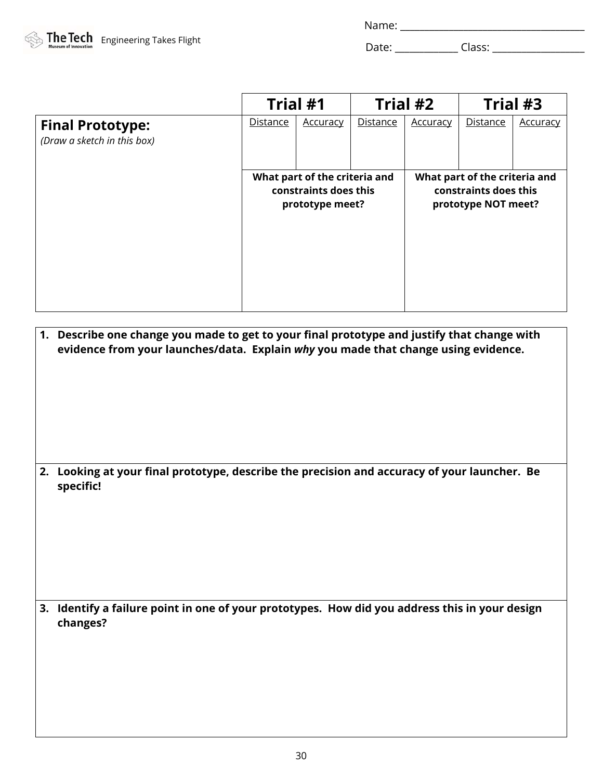| Name: |  |
|-------|--|
|       |  |

|                                                        | Trial #1                                                                  |                 | Trial #2        |                 | Trial #3                                                                      |                 |
|--------------------------------------------------------|---------------------------------------------------------------------------|-----------------|-----------------|-----------------|-------------------------------------------------------------------------------|-----------------|
| <b>Final Prototype:</b><br>(Draw a sketch in this box) | Distance                                                                  | <b>Accuracy</b> | <b>Distance</b> | <b>Accuracy</b> | <b>Distance</b>                                                               | <b>Accuracy</b> |
|                                                        | What part of the criteria and<br>constraints does this<br>prototype meet? |                 |                 |                 | What part of the criteria and<br>constraints does this<br>prototype NOT meet? |                 |

| 1. Describe one change you made to get to your final prototype and justify that change with<br>evidence from your launches/data. Explain why you made that change using evidence. |
|-----------------------------------------------------------------------------------------------------------------------------------------------------------------------------------|
| 2. Looking at your final prototype, describe the precision and accuracy of your launcher. Be<br>specific!                                                                         |
| 3. Identify a failure point in one of your prototypes. How did you address this in your design<br>changes?                                                                        |